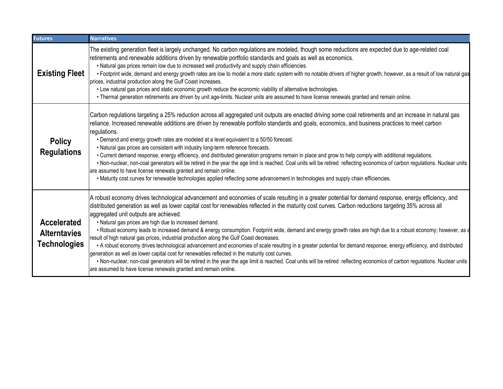| <b>Futures</b>                                                   | <b>Narratives</b>                                                                                                                                                                                                                                                                                                                                                                                                                                                                                                                                                                                                                                                                                                                                                                                                                                                                                                                                                                                                                                                                                                                                                                                             |
|------------------------------------------------------------------|---------------------------------------------------------------------------------------------------------------------------------------------------------------------------------------------------------------------------------------------------------------------------------------------------------------------------------------------------------------------------------------------------------------------------------------------------------------------------------------------------------------------------------------------------------------------------------------------------------------------------------------------------------------------------------------------------------------------------------------------------------------------------------------------------------------------------------------------------------------------------------------------------------------------------------------------------------------------------------------------------------------------------------------------------------------------------------------------------------------------------------------------------------------------------------------------------------------|
| <b>Existing Fleet</b>                                            | The existing generation fleet is largely unchanged. No carbon regulations are modeled, though some reductions are expected due to age-related coal<br>retirements and renewable additions driven by renewable portfolio standards and goals as well as economics.<br>. Natural gas prices remain low due to increased well productivity and supply chain efficiencies.<br>• Footprint wide, demand and energy growth rates are low to model a more static system with no notable drivers of higher growth; however, as a result of low natural gas<br>prices, industrial production along the Gulf Coast increases.<br>• Low natural gas prices and static economic growth reduce the economic viability of alternative technologies.<br>. Thermal generation retirements are driven by unit age-limits. Nuclear units are assumed to have license renewals granted and remain online.                                                                                                                                                                                                                                                                                                                        |
| <b>Policy</b><br><b>Regulations</b>                              | Carbon regulations targeting a 25% reduction across all aggregated unit outputs are enacted driving some coal retirements and an increase in natural gas<br>reliance. Increased renewable additions are driven by renewable portfolio standards and goals, economics, and business practices to meet carbon<br>regulations.<br>• Demand and energy growth rates are modeled at a level equivalent to a 50/50 forecast.<br>. Natural gas prices are consistent with industry long-term reference forecasts.<br>• Current demand response, energy efficiency, and distributed generation programs remain in place and grow to help comply with additional regulations.<br>. Non-nuclear, non-coal generators will be retired in the year the age limit is reached. Coal units will be retired reflecting economics of carbon regulations. Nuclear units<br>are assumed to have license renewals granted and remain online.<br>• Maturity cost curves for renewable technologies applied reflecting some advancement in technologies and supply chain efficiencies.                                                                                                                                              |
| <b>Accelerated</b><br><b>Alterntavies</b><br><b>Technologies</b> | A robust economy drives technological advancement and economies of scale resulting in a greater potential for demand response, energy efficiency, and<br>distributed generation as well as lower capital cost for renewables reflected in the maturity cost curves. Carbon reductions targeting 35% across all<br>aggregated unit outputs are achieved.<br>. Natural gas prices are high due to increased demand.<br>. Robust economy leads to increased demand & energy consumption. Footprint wide, demand and energy growth rates are high due to a robust economy; however, as a<br>result of high natural gas prices, industrial production along the Gulf Coast decreases.<br>• A robust economy drives technological advancement and economies of scale resulting in a greater potential for demand response, energy efficiency, and distributed<br>generation as well as lower capital cost for renewables reflected in the maturity cost curves.<br>. Non-nuclear, non-coal generators will be retired in the year the age limit is reached. Coal units will be retired reflecting economics of carbon regulations. Nuclear units<br>are assumed to have license renewals granted and remain online. |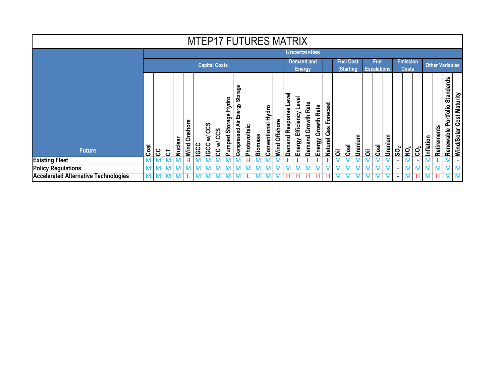| <b>MTEP17 FUTURES MATRIX</b>                |                |                      |   |                |                    |             |                               |                     |                            |                                       |              |                |                                    |                  |                       |                            |                            |                                      |                                         |   |                                   |         |                           |                                 |         |                          |                        |                          |              |             |                                            |                                    |
|---------------------------------------------|----------------|----------------------|---|----------------|--------------------|-------------|-------------------------------|---------------------|----------------------------|---------------------------------------|--------------|----------------|------------------------------------|------------------|-----------------------|----------------------------|----------------------------|--------------------------------------|-----------------------------------------|---|-----------------------------------|---------|---------------------------|---------------------------------|---------|--------------------------|------------------------|--------------------------|--------------|-------------|--------------------------------------------|------------------------------------|
|                                             |                |                      |   |                |                    |             |                               |                     |                            |                                       |              |                |                                    |                  |                       | <b>Uncertainties</b>       |                            |                                      |                                         |   |                                   |         |                           |                                 |         |                          |                        |                          |              |             |                                            |                                    |
|                                             |                | <b>Capital Costs</b> |   |                |                    |             |                               |                     |                            |                                       |              |                | <b>Demand and</b><br><b>Energy</b> |                  |                       |                            |                            | <b>Fuel Cost</b><br><b>(Starting</b> |                                         |   | <b>Fuel</b><br><b>Escalations</b> |         |                           | <b>Emission</b><br><b>Costs</b> |         |                          | <b>Other Variables</b> |                          |              |             |                                            |                                    |
| <b>Future</b>                               | Coal           | ပ္ပ                  | ㅎ | <b>Nuclear</b> | shore<br>ä<br>Wind | <b>IGCC</b> | ဖာ<br>ပ္ပ<br>₹<br><b>IGCC</b> | <b>SCS</b><br>CC w/ | Hydro<br>Storage<br>Pumped | Storage<br>Energy<br>दं<br>Compressed | Photovoltaic | <b>Biomass</b> | Conventional Hydro                 | Offshore<br>Wind | Demand Response Level | Efficiency Level<br>Energy | Rate<br>Growth  <br>Demand | Rate<br>Growth<br>Energy             | orecast<br>LĒ,<br>Gas<br><b>Natural</b> | ā | Coal                              | Uranium | $\overline{\overline{6}}$ | ್ಷ                              | Uranium | န္တ                      | $\tilde{\mathbf{e}}$   | ုဒ္ပ                     | ទ<br>Inflati | Retirements | <b>Standards</b><br>Portfolio<br>Renewable | <b>Cost Maturity</b><br>Wind/Solar |
| <b>Existing Fleet</b>                       | M <sub>1</sub> | M                    |   |                | н                  | M           | <b>IV</b>                     | M                   |                            | М                                     | н            | M              | M                                  |                  |                       |                            |                            |                                      |                                         |   | M                                 |         | M                         | M                               | . M     | $\overline{\phantom{a}}$ | M                      | $\overline{\phantom{a}}$ |              |             |                                            |                                    |
| <b>Policy Regulations</b>                   | M              |                      |   |                |                    |             |                               |                     |                            |                                       |              |                |                                    |                  | M                     |                            |                            |                                      |                                         |   |                                   |         | M                         | м                               |         | $\overline{\phantom{a}}$ | M                      |                          |              |             |                                            |                                    |
| <b>Accelerated Alternative Technologies</b> | M I            | M                    |   |                |                    | ΙVΙ         | <b>IV</b>                     | ΙVΙ                 |                            | <b>M</b>                              |              | $\mathsf{M}$   | <b>M</b>                           |                  | H                     | н.                         | н                          | н                                    | H                                       |   |                                   |         | <b>M</b>                  | $\mathsf{M}$                    | -M      | $\blacksquare$           | M                      | н                        |              | H.          | IVI I                                      |                                    |